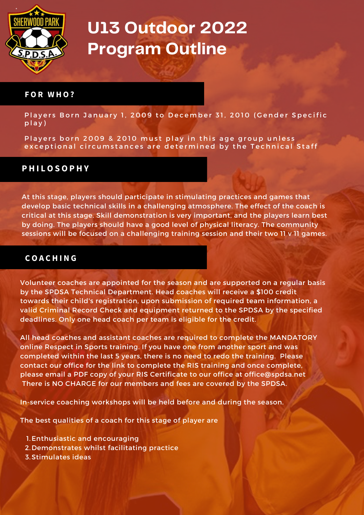

#### **F O R W H O ?**

Players Born January 1, 2009 to December 31, 2010 (Gender Specific p l a y )

Players born 2009 & 2010 must play in this age group unless exceptional circumstances are determined by the Technical Staff

### **P H I L O S O P H Y**

At this stage, players should participate in stimulating practices and games that develop basic technical skills in a challenging atmosphere. The effect of the coach is critical at this stage. Skill demonstration is very important, and the players learn best by doing. The players should have a good level of physical literacy. The community sessions will be focused on a challenging training session and their two 11 v 11 games.

## **C O A C H I N G**

Volunteer coaches are appointed for the season and are supported on a regular basis by the SPDSA Technical Department. Head coaches will receive a \$100 credit towards their child's registration, upon submission of required team information, a valid Criminal Record Check and equipment returned to the SPDSA by the specified deadlines. Only one head coach per team is eligible for the credit.

All head coaches and assistant coaches are required to complete the MANDATORY online Respect in Sports training. If you have one from another sport and was completed within the last 5 years, there is no need to redo the training. Please contact our office for the link to complete the RIS training and once complete, please email a PDF copy of your RIS Certificate to our office at [office@spdsa.net](mailto:office@spdsa.net) There is NO CHARGE for our members and fees are covered by the SPDSA.

In-service coaching workshops will be held before and during the season.

The best qualities of a coach for this stage of player are

- 1. Enthusiastic and encouraging
- 2. Demonstrates whilst facilitating practice
- 3. Stimulates ideas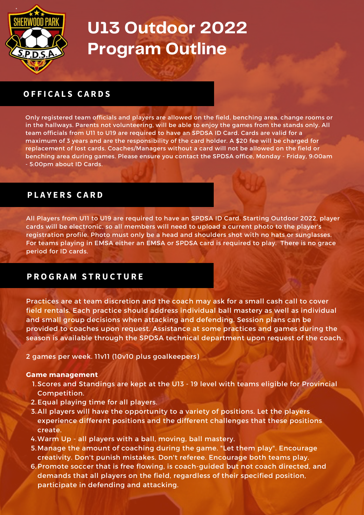

## **O F F I C A L S C A R D S**

Only registered team officials and players are allowed on the field, benching area, change rooms or in the hallways. Parents not volunteering, will be able to enjoy the games from the stands only. All team officials from U11 to U19 are required to have an SPDSA ID Card. Cards are valid for a maximum of 3 years and are the responsibility of the card holder. A \$20 fee will be charged for replacement of lost cards. Coaches/Managers without a card will not be allowed on the field or benching area during games. Please ensure you contact the SPDSA office, Monday - Friday, 9:00am - 5:00pm about ID Cards.

### **P L A Y E R S C A R D**

All Players from U11 to U19 are required to have an SPDSA ID Card. Starting Outdoor 2022, player cards will be electronic, so all members will need to upload a current photo to the player's registration profile. Photo must only be a head and shoulders shot with no hats or sunglasses. For teams playing in EMSA either an EMSA or SPDSA card is required to play. There is no grace period for ID cards.

## **P R O G R A M S T R U C T U R E**

Practices are at team discretion and the coach may ask for a small cash call to cover field rentals. Each practice should address individual ball mastery as well as individual and small group decisions when attacking and defending. Session plans can be provided to coaches upon request. Assistance at some practices and games during the season is available through the SPDSA technical department upon request of the coach.

2 games per week. 11v11 (10v10 plus goalkeepers)

#### **Game management**

- 1. Scores and Standings are kept at the U13 19 level with teams eligible for Provincial Competition.
- 2. Equal playing time for all players.
- 3. All players will have the opportunity to a variety of positions. Let the players experience different positions and the different challenges that these positions create.
- Warm Up all players with a ball, moving, ball mastery. 4.
- 5. Manage the amount of coaching during the game. "Let them play". Encourage creativity. Don't punish mistakes. Don't referee. Encourage both teams play.
- 6. Promote soccer that is free flowing, is coach-guided but not coach directed, and demands that all players on the field, regardless of their specified position, participate in defending and attacking.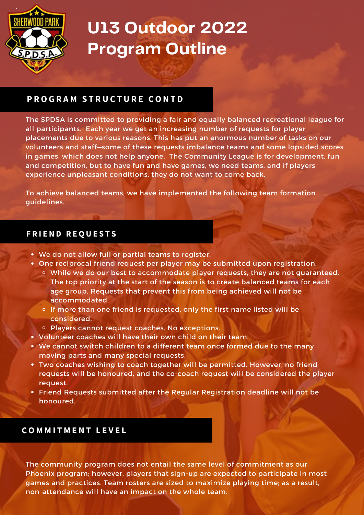

## **P R O G R A M S T R U C T U R E C O N T D**

The SPDSA is committed to providing a fair and equally balanced recreational league for all participants. Each year we get an increasing number of requests for player placements due to various reasons. This has put an enormous number of tasks on our volunteers and staff—some of these requests imbalance teams and some lopsided scores in games, which does not help anyone. The Community League is for development, fun and competition, but to have fun and have games, we need teams, and if players experience unpleasant conditions, they do not want to come back.

To achieve balanced teams, we have implemented the following team formation guidelines.

#### **F R I E N D R E Q U E S T S**

- We do not allow full or partial teams to register.
- One reciprocal friend request per player may be submitted upon registration.
	- While we do our best to accommodate player requests, they are not guaranteed. The top priority at the start of the season is to create balanced teams for each age group. Requests that prevent this from being achieved will not be accommodated.
	- $\circ$  If more than one friend is requested, only the first name listed will be considered.
	- o Players cannot request coaches. No exceptions.
- Volunteer coaches will have their own child on their team.
- We cannot switch children to a different team once formed due to the many moving parts and many special requests.
- Two coaches wishing to coach together will be permitted. However, no friend requests will be honoured, and the co-coach request will be considered the player request.
- Friend Requests submitted after the Regular Registration deadline will not be honoured.

## **C O M M I T M E N T L E V E L**

The community program does not entail the same level of commitment as our Phoenix program; however, players that sign-up are expected to participate in most games and practices. Team rosters are sized to maximize playing time; as a result, non-attendance will have an impact on the whole team.